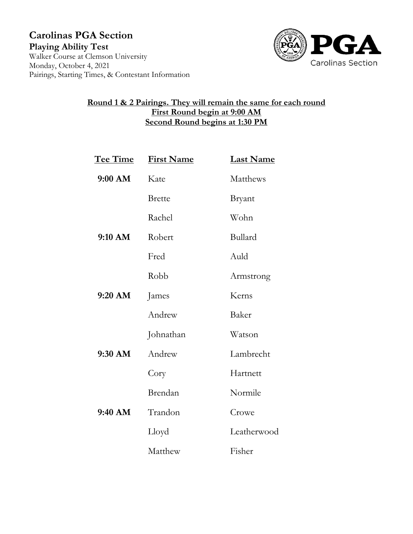**Carolinas PGA Section Playing Ability Test** Walker Course at Clemson University Monday, October 4, 2021 Pairings, Starting Times, & Contestant Information



## **Round 1 & 2 Pairings. They will remain the same for each round First Round begin at 9:00 AM Second Round begins at 1:30 PM**

| <u>Tee Time</u> | <b>First Name</b> | <b>Last Name</b> |
|-----------------|-------------------|------------------|
| 9:00 AM         | Kate              | Matthews         |
|                 | <b>Brette</b>     | <b>Bryant</b>    |
|                 | Rachel            | Wohn             |
| 9:10 AM         | Robert            | Bullard          |
|                 | Fred              | Auld             |
|                 | Robb              | Armstrong        |
| $9:20$ AM       | James             | Kerns            |
|                 | Andrew            | Baker            |
|                 | Johnathan         | Watson           |
| 9:30 AM         | Andrew            | Lambrecht        |
|                 | Cory              | Hartnett         |
|                 | Brendan           | Normile          |
| 9:40 AM         | Trandon           | Crowe            |
|                 | Lloyd             | Leatherwood      |
|                 | Matthew           | Fisher           |